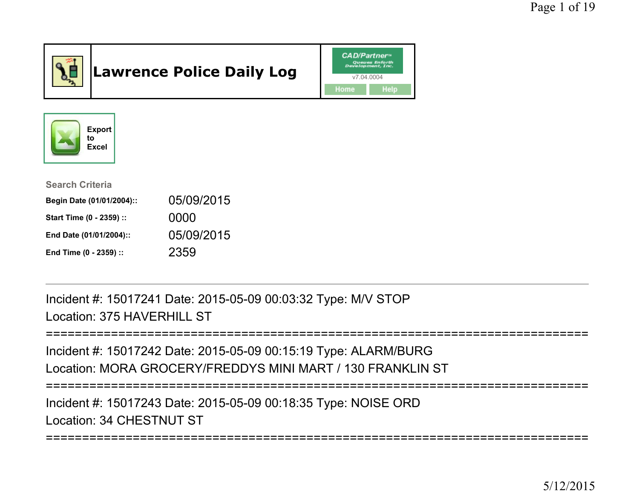

# Lawrence Police Daily Log





| <b>Search Criteria</b>    |            |
|---------------------------|------------|
| Begin Date (01/01/2004):: | 05/09/2015 |
| Start Time (0 - 2359) ::  | 0000       |
| End Date (01/01/2004)::   | 05/09/2015 |
| End Time (0 - 2359) ::    | 2359       |

Incident #: 15017241 Date: 2015-05-09 00:03:32 Type: M/V STOPLocation: 375 HAVERHILL ST

========================

```
===========================================================================Incident #: 15017242 Date: 2015-05-09 00:15:19 Type: ALARM/BURG
Location: MORA GROCERY/FREDDYS MINI MART / 130 FRANKLIN ST===========================================================================Incident #: 15017243 Date: 2015-05-09 00:18:35 Type: NOISE ORDLocation: 34 CHESTNUT ST
```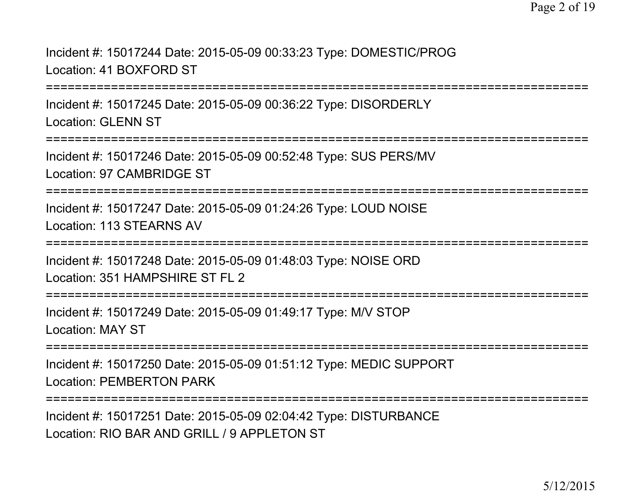Incident #: 15017244 Date: 2015-05-09 00:33:23 Type: DOMESTIC/PROGLocation: 41 BOXFORD ST

===========================================================================

Incident #: 15017245 Date: 2015-05-09 00:36:22 Type: DISORDERLYLocation: GLENN ST

===========================================================================

Incident #: 15017246 Date: 2015-05-09 00:52:48 Type: SUS PERS/MVLocation: 97 CAMBRIDGE ST

===========================================================================

Incident #: 15017247 Date: 2015-05-09 01:24:26 Type: LOUD NOISELocation: 113 STEARNS AV

===========================================================================

Incident #: 15017248 Date: 2015-05-09 01:48:03 Type: NOISE ORDLocation: 351 HAMPSHIRE ST FL 2

===========================================================================

Incident #: 15017249 Date: 2015-05-09 01:49:17 Type: M/V STOPLocation: MAY ST

===========================================================================

Incident #: 15017250 Date: 2015-05-09 01:51:12 Type: MEDIC SUPPORTLocation: PEMBERTON PARK

===========================================================================

Incident #: 15017251 Date: 2015-05-09 02:04:42 Type: DISTURBANCELocation: RIO BAR AND GRILL / 9 APPL FTON ST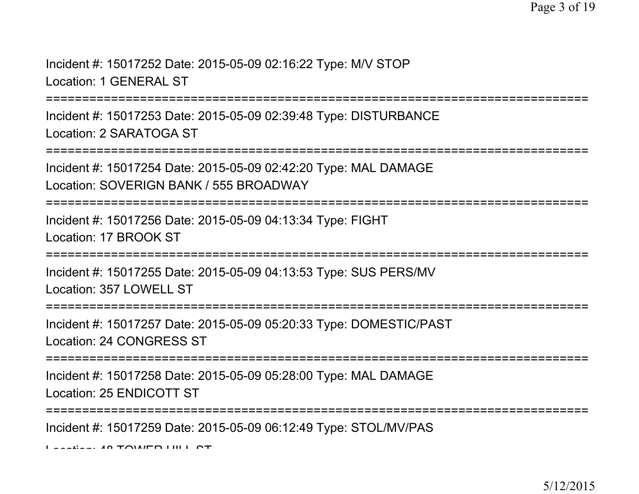Incident #: 15017252 Date: 2015-05-09 02:16:22 Type: M/V STOPLocation: 1 GENERAL ST

:===============

Incident #: 15017253 Date: 2015-05-09 02:39:48 Type: DISTURBANCELocation: 2 SARATOGA ST

================

Incident #: 15017254 Date: 2015-05-09 02:42:20 Type: MAL DAMAGELocation: SOVERIGN BANK / 555 BROADWAY

===========================================================================

Incident #: 15017256 Date: 2015-05-09 04:13:34 Type: FIGHTLocation: 17 BROOK ST

===========================================================================

Incident #: 15017255 Date: 2015-05-09 04:13:53 Type: SUS PERS/MVLocation: 357 LOWELL ST

===========================================================================

Incident #: 15017257 Date: 2015-05-09 05:20:33 Type: DOMESTIC/PASTLocation: 24 CONGRESS ST

===========================================================================

Incident #: 15017258 Date: 2015-05-09 05:28:00 Type: MAL DAMAGELocation: 25 ENDICOTT ST

===========================================================================

Incident #: 15017259 Date: 2015-05-09 06:12:49 Type: STOL/MV/PAS

 $L_{\text{scat}}$ : 40 TOWER HILL OT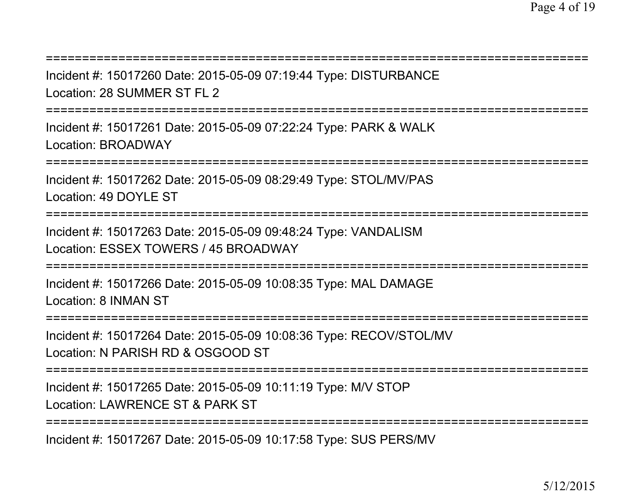| Incident #: 15017260 Date: 2015-05-09 07:19:44 Type: DISTURBANCE<br>Location: 28 SUMMER ST FL 2                                                                                                                                                                                                                                                                                                                                                                                            |
|--------------------------------------------------------------------------------------------------------------------------------------------------------------------------------------------------------------------------------------------------------------------------------------------------------------------------------------------------------------------------------------------------------------------------------------------------------------------------------------------|
| Incident #: 15017261 Date: 2015-05-09 07:22:24 Type: PARK & WALK<br><b>Location: BROADWAY</b>                                                                                                                                                                                                                                                                                                                                                                                              |
| Incident #: 15017262 Date: 2015-05-09 08:29:49 Type: STOL/MV/PAS<br>Location: 49 DOYLE ST<br>;=================================                                                                                                                                                                                                                                                                                                                                                            |
| Incident #: 15017263 Date: 2015-05-09 09:48:24 Type: VANDALISM<br>Location: ESSEX TOWERS / 45 BROADWAY<br>:==================                                                                                                                                                                                                                                                                                                                                                              |
| Incident #: 15017266 Date: 2015-05-09 10:08:35 Type: MAL DAMAGE<br>Location: 8 INMAN ST                                                                                                                                                                                                                                                                                                                                                                                                    |
| =================================<br>Incident #: 15017264 Date: 2015-05-09 10:08:36 Type: RECOV/STOL/MV<br>Location: N PARISH RD & OSGOOD ST                                                                                                                                                                                                                                                                                                                                               |
| Incident #: 15017265 Date: 2015-05-09 10:11:19 Type: M/V STOP<br>Location: LAWRENCE ST & PARK ST                                                                                                                                                                                                                                                                                                                                                                                           |
| $\blacksquare$ $\blacksquare$ $\blacksquare$ $\blacksquare$ $\blacksquare$ $\blacksquare$ $\blacksquare$ $\blacksquare$ $\blacksquare$ $\blacksquare$ $\blacksquare$ $\blacksquare$ $\blacksquare$ $\blacksquare$ $\blacksquare$ $\blacksquare$ $\blacksquare$ $\blacksquare$ $\blacksquare$ $\blacksquare$ $\blacksquare$ $\blacksquare$ $\blacksquare$ $\blacksquare$ $\blacksquare$ $\blacksquare$ $\blacksquare$ $\blacksquare$ $\blacksquare$ $\blacksquare$ $\blacksquare$ $\blacks$ |

Incident #: 15017267 Date: 2015-05-09 10:17:58 Type: SUS PERS/MV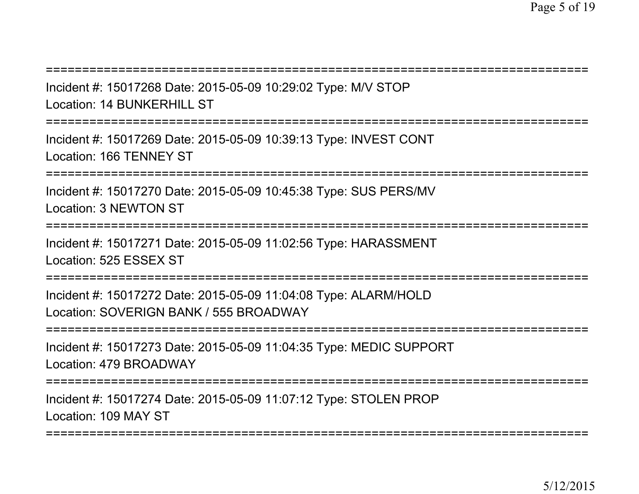===========================================================================

Incident #: 15017268 Date: 2015-05-09 10:29:02 Type: M/V STOPLocation: 14 BUNKERHILL ST

===========================================================================

Incident #: 15017269 Date: 2015-05-09 10:39:13 Type: INVEST CONTLocation: 166 TENNEY ST

====================

Incident #: 15017270 Date: 2015-05-09 10:45:38 Type: SUS PERS/MVLocation: 3 NEWTON ST

===========================================================================

Incident #: 15017271 Date: 2015-05-09 11:02:56 Type: HARASSMENTLocation: 525 ESSEX ST

===========================================================================

Incident #: 15017272 Date: 2015-05-09 11:04:08 Type: ALARM/HOLDLocation: SOVERIGN BANK / 555 BROADWAY

===========================================================================

Incident #: 15017273 Date: 2015-05-09 11:04:35 Type: MEDIC SUPPORTLocation: 479 BROADWAY

===========================================================================

Incident #: 15017274 Date: 2015-05-09 11:07:12 Type: STOLEN PROPLocation: 109 MAY ST

**---------------**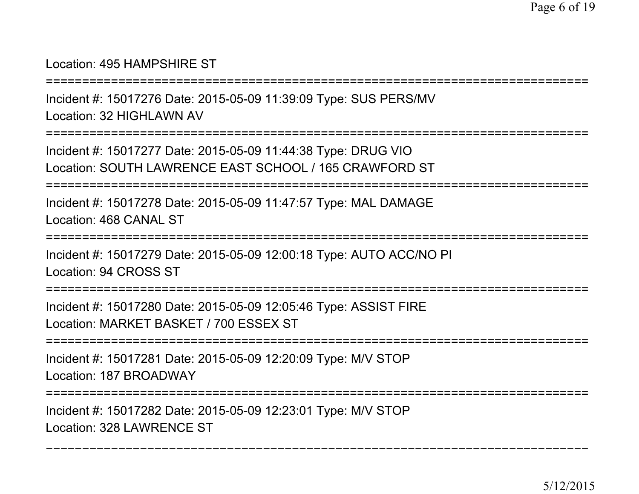### Location: 495 HAMPSHIRE ST

===========================================================================

Incident #: 15017276 Date: 2015-05-09 11:39:09 Type: SUS PERS/MVLocation: 32 HIGHLAWN AV

===========================================================================

Incident #: 15017277 Date: 2015-05-09 11:44:38 Type: DRUG VIOLocation: SOUTH LAWRENCE EAST SCHOOL / 165 CRAWFORD ST

===========================================================================

Incident #: 15017278 Date: 2015-05-09 11:47:57 Type: MAL DAMAGELocation: 468 CANAL ST

===========================================================================

Incident #: 15017279 Date: 2015-05-09 12:00:18 Type: AUTO ACC/NO PILocation: 94 CROSS ST

===========================================================================

Incident #: 15017280 Date: 2015-05-09 12:05:46 Type: ASSIST FIRELocation: MARKET BASKET / 700 ESSEX ST

===========================================================================

Incident #: 15017281 Date: 2015-05-09 12:20:09 Type: M/V STOPLocation: 187 BROADWAY

===========================================================================

Incident #: 15017282 Date: 2015-05-09 12:23:01 Type: M/V STOPLocation: 328 LAWRENCE ST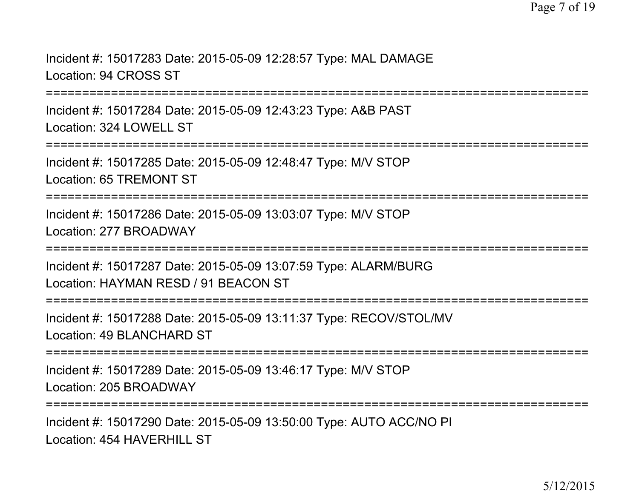Incident #: 15017283 Date: 2015-05-09 12:28:57 Type: MAL DAMAGELocation: 94 CROSS ST

===========================================================================

Incident #: 15017284 Date: 2015-05-09 12:43:23 Type: A&B PASTLocation: 324 LOWELL ST

===========================================================================

Incident #: 15017285 Date: 2015-05-09 12:48:47 Type: M/V STOPLocation: 65 TREMONT ST

===========================================================================

Incident #: 15017286 Date: 2015-05-09 13:03:07 Type: M/V STOPLocation: 277 BROADWAY

===========================================================================

Incident #: 15017287 Date: 2015-05-09 13:07:59 Type: ALARM/BURGLocation: HAYMAN RESD / 91 BEACON ST

===========================================================================

Incident #: 15017288 Date: 2015-05-09 13:11:37 Type: RECOV/STOL/MVLocation: 49 BLANCHARD ST

===========================================================================

Incident #: 15017289 Date: 2015-05-09 13:46:17 Type: M/V STOPLocation: 205 BROADWAY

===========================================================================

Incident #: 15017290 Date: 2015-05-09 13:50:00 Type: AUTO ACC/NO PILocation: 454 HAVERHILL ST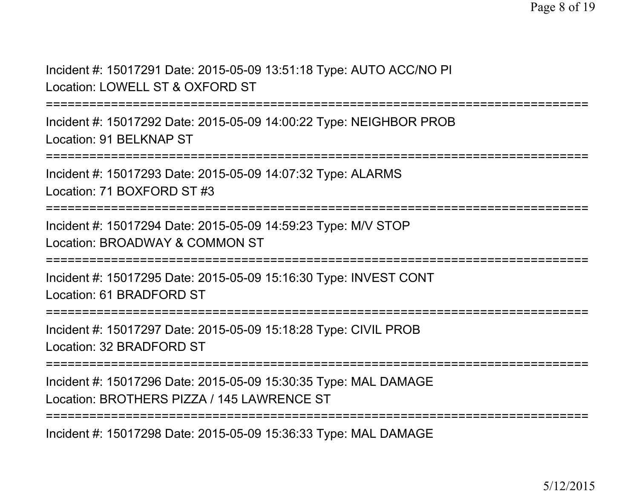Incident #: 15017291 Date: 2015-05-09 13:51:18 Type: AUTO ACC/NO PILocation: LOWELL ST & OXFORD ST

===========================================================================

Incident #: 15017292 Date: 2015-05-09 14:00:22 Type: NEIGHBOR PROBLocation: 91 BELKNAP ST

===========================================================================

Incident #: 15017293 Date: 2015-05-09 14:07:32 Type: ALARMSLocation: 71 BOXFORD ST #3

===========================================================================

Incident #: 15017294 Date: 2015-05-09 14:59:23 Type: M/V STOPLocation: BROADWAY & COMMON ST

===========================================================================

Incident #: 15017295 Date: 2015-05-09 15:16:30 Type: INVEST CONTLocation: 61 BRADFORD ST

===========================================================================

Incident #: 15017297 Date: 2015-05-09 15:18:28 Type: CIVIL PROBLocation: 32 BRADFORD ST

===========================================================================

Incident #: 15017296 Date: 2015-05-09 15:30:35 Type: MAL DAMAGE

Location: BROTHERS PIZZA / 145 LAWRENCE ST

===========================================================================

Incident #: 15017298 Date: 2015-05-09 15:36:33 Type: MAL DAMAGE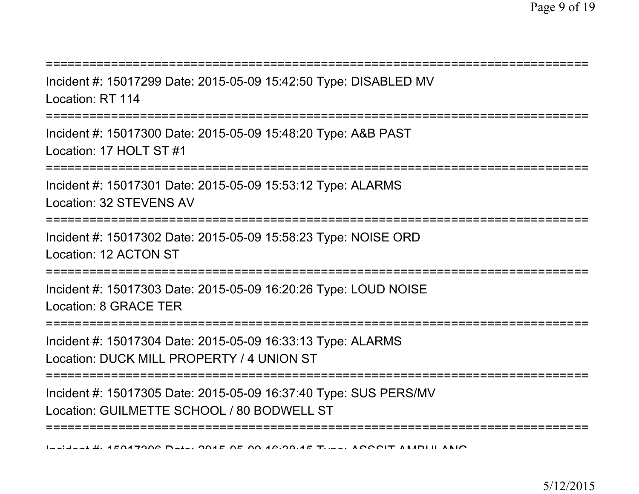| Incident #: 15017299 Date: 2015-05-09 15:42:50 Type: DISABLED MV<br>Location: RT 114                           |
|----------------------------------------------------------------------------------------------------------------|
| Incident #: 15017300 Date: 2015-05-09 15:48:20 Type: A&B PAST<br>Location: 17 HOLT ST #1                       |
| Incident #: 15017301 Date: 2015-05-09 15:53:12 Type: ALARMS<br>Location: 32 STEVENS AV                         |
| Incident #: 15017302 Date: 2015-05-09 15:58:23 Type: NOISE ORD<br>Location: 12 ACTON ST                        |
| Incident #: 15017303 Date: 2015-05-09 16:20:26 Type: LOUD NOISE<br>Location: 8 GRACE TER                       |
| Incident #: 15017304 Date: 2015-05-09 16:33:13 Type: ALARMS<br>Location: DUCK MILL PROPERTY / 4 UNION ST       |
| Incident #: 15017305 Date: 2015-05-09 16:37:40 Type: SUS PERS/MV<br>Location: GUILMETTE SCHOOL / 80 BODWELL ST |
| Lealent H. AFOATOOC Data, OOAF OF OO AC.OO.AF T.  ACCOUT ANIDULANIO                                            |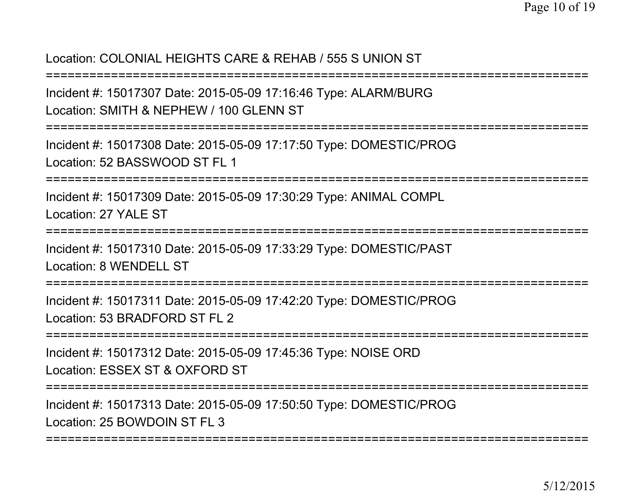## Location: COLONIAL HEIGHTS CARE & REHAB / 555 S UNION ST

===========================================================================

Incident #: 15017307 Date: 2015-05-09 17:16:46 Type: ALARM/BURGLocation: SMITH & NEPHEW / 100 GLENN ST

===========================================================================

Incident #: 15017308 Date: 2015-05-09 17:17:50 Type: DOMESTIC/PROGLocation: 52 BASSWOOD ST FL 1

===========================================================================

Incident #: 15017309 Date: 2015-05-09 17:30:29 Type: ANIMAL COMPLLocation: 27 YALE ST

===========================================================================

Incident #: 15017310 Date: 2015-05-09 17:33:29 Type: DOMESTIC/PASTLocation: 8 WENDELL ST

===========================================================================

Incident #: 15017311 Date: 2015-05-09 17:42:20 Type: DOMESTIC/PROGLocation: 53 BRADFORD ST FL 2

===========================================================================

Incident #: 15017312 Date: 2015-05-09 17:45:36 Type: NOISE ORDLocation: ESSEX ST & OXFORD ST

===========================================================================

Incident #: 15017313 Date: 2015-05-09 17:50:50 Type: DOMESTIC/PROGLocation: 25 BOWDOIN ST FL 3

===========================================================================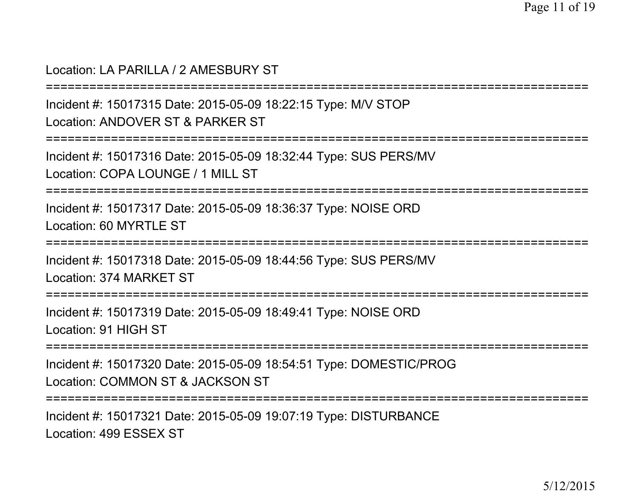#### Location: LA PARILLA / 2 AMESBURY ST

```
===========================================================================
```
Incident #: 15017315 Date: 2015-05-09 18:22:15 Type: M/V STOPLocation: ANDOVER ST & PARKER ST

===========================================================================

Incident #: 15017316 Date: 2015-05-09 18:32:44 Type: SUS PERS/MVLocation: COPA LOUNGE / 1 MILL ST

===========================================================================

Incident #: 15017317 Date: 2015-05-09 18:36:37 Type: NOISE ORDLocation: 60 MYRTLE ST

===========================================================================

Incident #: 15017318 Date: 2015-05-09 18:44:56 Type: SUS PERS/MVLocation: 374 MARKET ST

===========================================================================

Incident #: 15017319 Date: 2015-05-09 18:49:41 Type: NOISE ORDLocation: 91 HIGH ST

========================

Incident #: 15017320 Date: 2015-05-09 18:54:51 Type: DOMESTIC/PROGLocation: COMMON ST & JACKSON ST

===========================================================================

Incident #: 15017321 Date: 2015-05-09 19:07:19 Type: DISTURBANCELocation: 499 ESSEX ST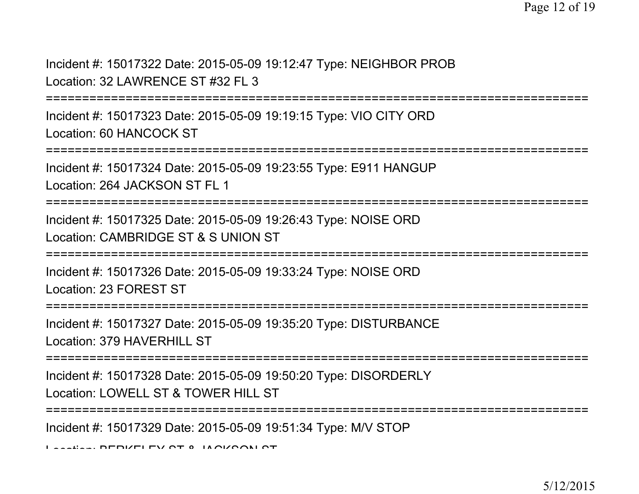Incident #: 15017322 Date: 2015-05-09 19:12:47 Type: NEIGHBOR PROBLocation: 32 LAWRENCE ST #32 FL 3

===========================================================================

Incident #: 15017323 Date: 2015-05-09 19:19:15 Type: VIO CITY ORDLocation: 60 HANCOCK ST

```
==============
```
Incident #: 15017324 Date: 2015-05-09 19:23:55 Type: E911 HANGUPLocation: 264 JACKSON ST FL 1

===========================================================================

Incident #: 15017325 Date: 2015-05-09 19:26:43 Type: NOISE ORDLocation: CAMBRIDGE ST & S UNION ST

===========================================================================

Incident #: 15017326 Date: 2015-05-09 19:33:24 Type: NOISE ORDLocation: 23 FOREST ST

===========================================================================

Incident #: 15017327 Date: 2015-05-09 19:35:20 Type: DISTURBANCELocation: 379 HAVERHILL ST

===========================================================================

Incident #: 15017328 Date: 2015-05-09 19:50:20 Type: DISORDERLY

Location: LOWELL ST & TOWER HILL ST

===========================================================================

Incident #: 15017329 Date: 2015-05-09 19:51:34 Type: M/V STOP

Location: BERKELEY ST & JACKSON ST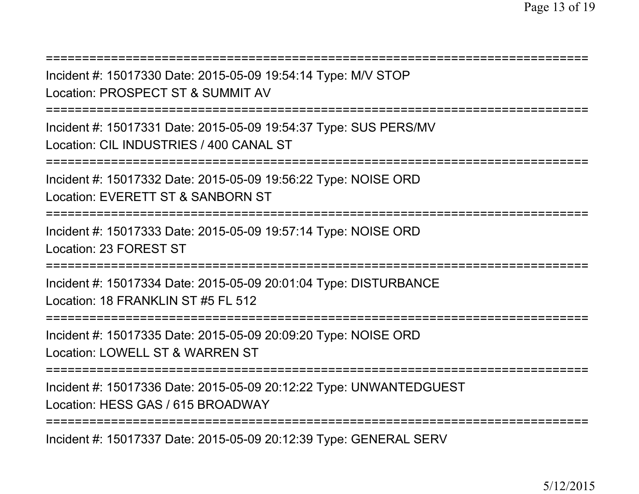===========================================================================Incident #: 15017330 Date: 2015-05-09 19:54:14 Type: M/V STOPLocation: PROSPECT ST & SUMMIT AV===========================================================================Incident #: 15017331 Date: 2015-05-09 19:54:37 Type: SUS PERS/MVLocation: CIL INDUSTRIES / 400 CANAL ST===========================================================================Incident #: 15017332 Date: 2015-05-09 19:56:22 Type: NOISE ORDLocation: EVERETT ST & SANBORN ST===========================================================================Incident #: 15017333 Date: 2015-05-09 19:57:14 Type: NOISE ORDLocation: 23 FOREST ST===========================================================================Incident #: 15017334 Date: 2015-05-09 20:01:04 Type: DISTURBANCELocation: 18 FRANKLIN ST #5 FL 512===========================================================================Incident #: 15017335 Date: 2015-05-09 20:09:20 Type: NOISE ORDLocation: LOWELL ST & WARREN ST===========================================================================Incident #: 15017336 Date: 2015-05-09 20:12:22 Type: UNWANTEDGUESTLocation: HESS GAS / 615 BROADWAY=============

Incident #: 15017337 Date: 2015-05-09 20:12:39 Type: GENERAL SERV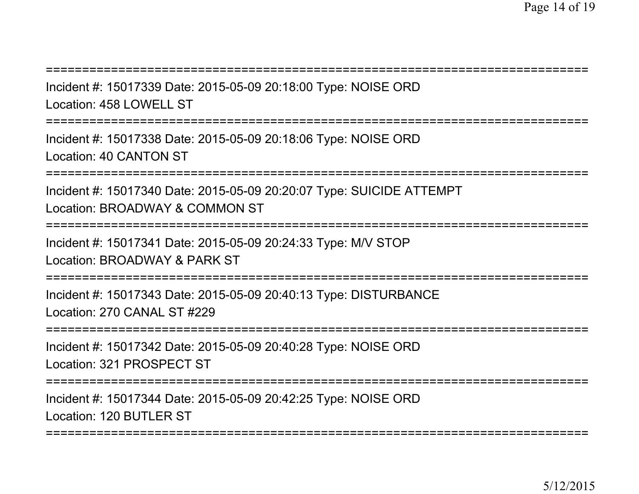**=============** 

Incident #: 15017339 Date: 2015-05-09 20:18:00 Type: NOISE ORDLocation: 458 LOWELL ST

===========================================================================

Incident #: 15017338 Date: 2015-05-09 20:18:06 Type: NOISE ORDLocation: 40 CANTON ST

=================

Incident #: 15017340 Date: 2015-05-09 20:20:07 Type: SUICIDE ATTEMPTLocation: BROADWAY & COMMON ST

===========================================================================

Incident #: 15017341 Date: 2015-05-09 20:24:33 Type: M/V STOPLocation: BROADWAY & PARK ST

===========================================================================

Incident #: 15017343 Date: 2015-05-09 20:40:13 Type: DISTURBANCELocation: 270 CANAL ST #229

===========================================================================

Incident #: 15017342 Date: 2015-05-09 20:40:28 Type: NOISE ORDLocation: 321 PROSPECT ST

===========================================================================

Incident #: 15017344 Date: 2015-05-09 20:42:25 Type: NOISE ORDLocation: 120 BUTLER ST

===========================================================================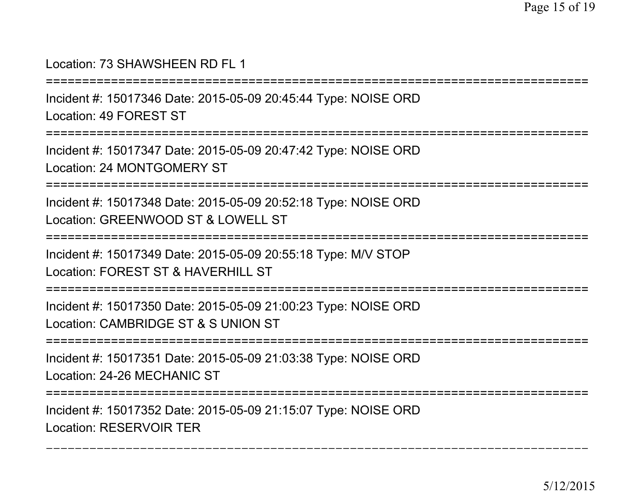#### Location: 73 SHAWSHEEN RD FL 1

===========================================================================

Incident #: 15017346 Date: 2015-05-09 20:45:44 Type: NOISE ORD

Location: 49 FOREST ST

===========================================================================

Incident #: 15017347 Date: 2015-05-09 20:47:42 Type: NOISE ORDLocation: 24 MONTGOMERY ST

===========================================================================

Incident #: 15017348 Date: 2015-05-09 20:52:18 Type: NOISE ORDLocation: GREENWOOD ST & LOWELL ST

===========================================================================

Incident #: 15017349 Date: 2015-05-09 20:55:18 Type: M/V STOPLocation: FOREST ST & HAVERHILL ST

===========================================================================

Incident #: 15017350 Date: 2015-05-09 21:00:23 Type: NOISE ORDLocation: CAMBRIDGE ST & S UNION ST

===========================================================================

Incident #: 15017351 Date: 2015-05-09 21:03:38 Type: NOISE ORDLocation: 24-26 MECHANIC ST

=============

===========================================================================

Incident #: 15017352 Date: 2015-05-09 21:15:07 Type: NOISE ORDLocation: RESERVOIR TER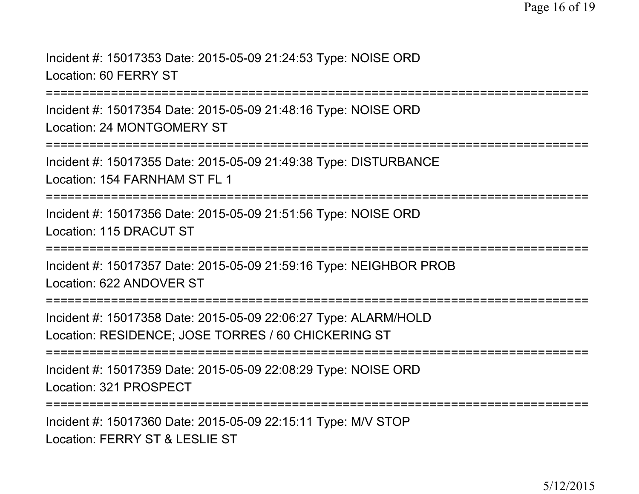Incident #: 15017353 Date: 2015-05-09 21:24:53 Type: NOISE ORDLocation: 60 FERRY ST

===========================================================================

Incident #: 15017354 Date: 2015-05-09 21:48:16 Type: NOISE ORDLocation: 24 MONTGOMERY ST

===========================================================================

Incident #: 15017355 Date: 2015-05-09 21:49:38 Type: DISTURBANCE

Location: 154 FARNHAM ST FL 1

===========================================================================

Incident #: 15017356 Date: 2015-05-09 21:51:56 Type: NOISE ORDLocation: 115 DRACUT ST

===========================================================================

Incident #: 15017357 Date: 2015-05-09 21:59:16 Type: NEIGHBOR PROBLocation: 622 ANDOVER ST

===========================================================================

Incident #: 15017358 Date: 2015-05-09 22:06:27 Type: ALARM/HOLDLocation: RESIDENCE; JOSE TORRES / 60 CHICKERING ST

===========================================================================

Incident #: 15017359 Date: 2015-05-09 22:08:29 Type: NOISE ORDLocation: 321 PROSPECT

===========================================================================

Incident #: 15017360 Date: 2015-05-09 22:15:11 Type: M/V STOPLocation: FERRY ST & LESLIE ST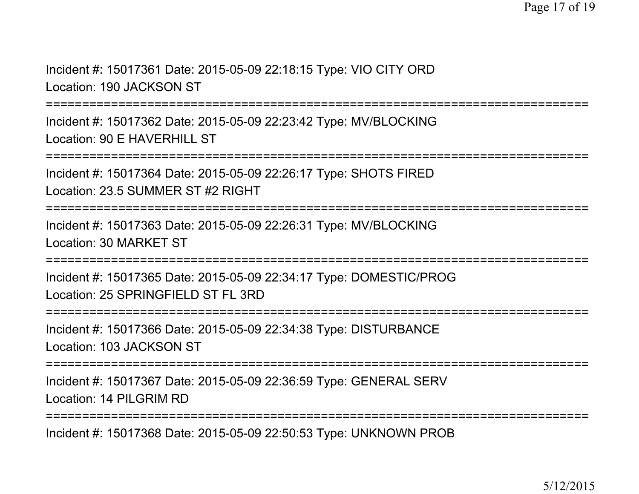Incident #: 15017361 Date: 2015-05-09 22:18:15 Type: VIO CITY ORDLocation: 190 JACKSON ST

===========================================================================

Incident #: 15017362 Date: 2015-05-09 22:23:42 Type: MV/BLOCKINGLocation: 90 F HAVERHILL ST

===========================================================================

Incident #: 15017364 Date: 2015-05-09 22:26:17 Type: SHOTS FIREDLocation: 23.5 SUMMER ST #2 RIGHT

===========================================================================

Incident #: 15017363 Date: 2015-05-09 22:26:31 Type: MV/BLOCKINGLocation: 30 MARKET ST

===========================================================================

Incident #: 15017365 Date: 2015-05-09 22:34:17 Type: DOMESTIC/PROGLocation: 25 SPRINGFIELD ST FL 3RD

===========================================================================

Incident #: 15017366 Date: 2015-05-09 22:34:38 Type: DISTURBANCELocation: 103 JACKSON ST

===========================================================================

Incident #: 15017367 Date: 2015-05-09 22:36:59 Type: GENERAL SERVLocation: 14 PILGRIM RD

===========================================================================

Incident #: 15017368 Date: 2015-05-09 22:50:53 Type: UNKNOWN PROB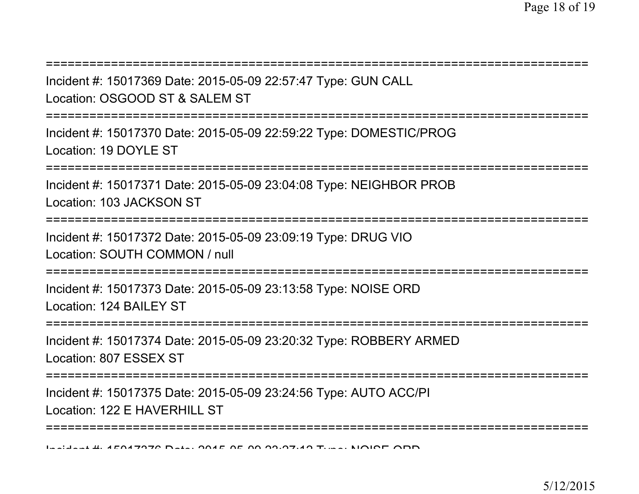| Incident #: 15017369 Date: 2015-05-09 22:57:47 Type: GUN CALL<br>Location: OSGOOD ST & SALEM ST           |
|-----------------------------------------------------------------------------------------------------------|
| Incident #: 15017370 Date: 2015-05-09 22:59:22 Type: DOMESTIC/PROG<br>Location: 19 DOYLE ST<br>---------- |
| Incident #: 15017371 Date: 2015-05-09 23:04:08 Type: NEIGHBOR PROB<br>Location: 103 JACKSON ST            |
| Incident #: 15017372 Date: 2015-05-09 23:09:19 Type: DRUG VIO<br>Location: SOUTH COMMON / null            |
| Incident #: 15017373 Date: 2015-05-09 23:13:58 Type: NOISE ORD<br>Location: 124 BAILEY ST                 |
| Incident #: 15017374 Date: 2015-05-09 23:20:32 Type: ROBBERY ARMED<br>Location: 807 ESSEX ST              |
| Incident #: 15017375 Date: 2015-05-09 23:24:56 Type: AUTO ACC/PI<br>Location: 122 E HAVERHILL ST          |